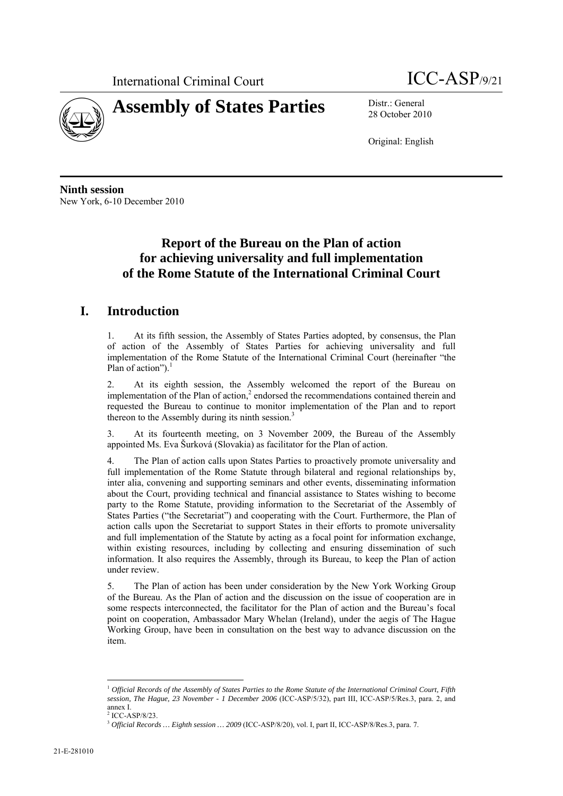



28 October 2010

Original: English

**Ninth session**  New York, 6-10 December 2010

# **Report of the Bureau on the Plan of action for achieving universality and full implementation of the Rome Statute of the International Criminal Court**

## **I. Introduction**

1. At its fifth session, the Assembly of States Parties adopted, by consensus, the Plan of action of the Assembly of States Parties for achieving universality and full implementation of the Rome Statute of the International Criminal Court (hereinafter "the Plan of action"). $<sup>1</sup>$ </sup>

2. At its eighth session, the Assembly welcomed the report of the Bureau on implementation of the Plan of action,<sup>2</sup> endorsed the recommendations contained therein and requested the Bureau to continue to monitor implementation of the Plan and to report thereon to the Assembly during its ninth session.<sup>3</sup>

3. At its fourteenth meeting, on 3 November 2009, the Bureau of the Assembly appointed Ms. Eva Šurková (Slovakia) as facilitator for the Plan of action.

4. The Plan of action calls upon States Parties to proactively promote universality and full implementation of the Rome Statute through bilateral and regional relationships by, inter alia, convening and supporting seminars and other events, disseminating information about the Court, providing technical and financial assistance to States wishing to become party to the Rome Statute, providing information to the Secretariat of the Assembly of States Parties ("the Secretariat") and cooperating with the Court. Furthermore, the Plan of action calls upon the Secretariat to support States in their efforts to promote universality and full implementation of the Statute by acting as a focal point for information exchange, within existing resources, including by collecting and ensuring dissemination of such information. It also requires the Assembly, through its Bureau, to keep the Plan of action under review.

5. The Plan of action has been under consideration by the New York Working Group of the Bureau. As the Plan of action and the discussion on the issue of cooperation are in some respects interconnected, the facilitator for the Plan of action and the Bureau's focal point on cooperation, Ambassador Mary Whelan (Ireland), under the aegis of The Hague Working Group, have been in consultation on the best way to advance discussion on the item.

 $\overline{a}$ <sup>1</sup> *Official Records of the Assembly of States Parties to the Rome Statute of the International Criminal Court, Fifth session, The Hague, 23 November - 1 December 2006* (ICC-ASP/5/32), part III, ICC-ASP/5/Res.3, para. 2, and annex I.

<sup>2</sup> ICC-ASP/8/23.

<sup>3</sup> *Official Records … Eighth session … 2009* (ICC-ASP/8/20), vol. I, part II, ICC-ASP/8/Res.3, para. 7.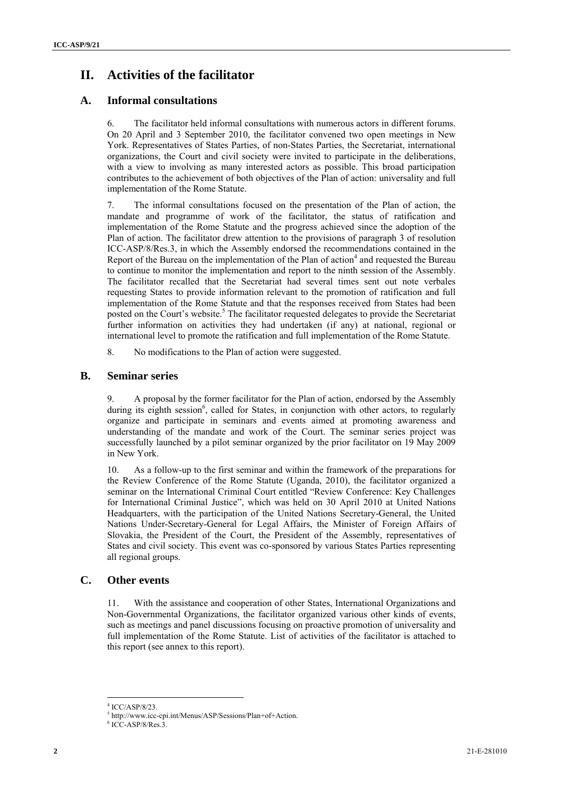# **II. Activities of the facilitator**

### **A. Informal consultations**

6. The facilitator held informal consultations with numerous actors in different forums. On 20 April and 3 September 2010, the facilitator convened two open meetings in New York. Representatives of States Parties, of non-States Parties, the Secretariat, international organizations, the Court and civil society were invited to participate in the deliberations, with a view to involving as many interested actors as possible. This broad participation contributes to the achievement of both objectives of the Plan of action: universality and full implementation of the Rome Statute.

7. The informal consultations focused on the presentation of the Plan of action, the mandate and programme of work of the facilitator, the status of ratification and implementation of the Rome Statute and the progress achieved since the adoption of the Plan of action. The facilitator drew attention to the provisions of paragraph 3 of resolution ICC-ASP/8/Res.3, in which the Assembly endorsed the recommendations contained in the Report of the Bureau on the implementation of the Plan of action $<sup>4</sup>$  and requested the Bureau</sup> to continue to monitor the implementation and report to the ninth session of the Assembly. The facilitator recalled that the Secretariat had several times sent out note verbales requesting States to provide information relevant to the promotion of ratification and full implementation of the Rome Statute and that the responses received from States had been posted on the Court's website.<sup>5</sup> The facilitator requested delegates to provide the Secretariat further information on activities they had undertaken (if any) at national, regional or international level to promote the ratification and full implementation of the Rome Statute.

8. No modifications to the Plan of action were suggested.

### **B. Seminar series**

9. A proposal by the former facilitator for the Plan of action, endorsed by the Assembly during its eighth session<sup>6</sup>, called for States, in conjunction with other actors, to regularly organize and participate in seminars and events aimed at promoting awareness and understanding of the mandate and work of the Court. The seminar series project was successfully launched by a pilot seminar organized by the prior facilitator on 19 May 2009 in New York.

10. As a follow-up to the first seminar and within the framework of the preparations for the Review Conference of the Rome Statute (Uganda, 2010), the facilitator organized a seminar on the International Criminal Court entitled "Review Conference: Key Challenges for International Criminal Justice", which was held on 30 April 2010 at United Nations Headquarters, with the participation of the United Nations Secretary-General, the United Nations Under-Secretary-General for Legal Affairs, the Minister of Foreign Affairs of Slovakia, the President of the Court, the President of the Assembly, representatives of States and civil society. This event was co-sponsored by various States Parties representing all regional groups.

### **C. Other events**

11. With the assistance and cooperation of other States, International Organizations and Non-Governmental Organizations, the facilitator organized various other kinds of events, such as meetings and panel discussions focusing on proactive promotion of universality and full implementation of the Rome Statute. List of activities of the facilitator is attached to this report (see annex to this report).

 $\overline{a}$ 4 ICC/ASP/8/23.

 $^5$  http://www.icc-cpi.int/Menus/ASP/Sessions/Plan+of+Action.

 $6^{\circ}$  ICC-ASP/8/Res.3.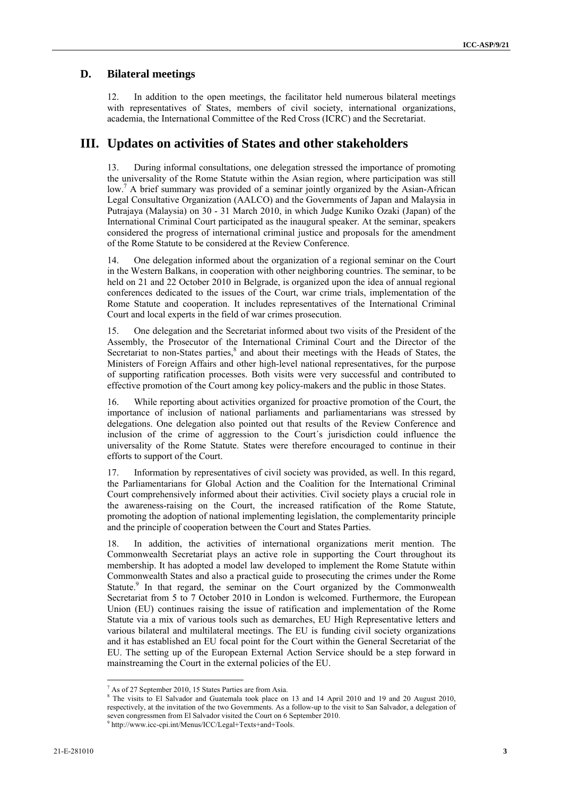#### **D. Bilateral meetings**

12. In addition to the open meetings, the facilitator held numerous bilateral meetings with representatives of States, members of civil society, international organizations, academia, the International Committee of the Red Cross (ICRC) and the Secretariat.

## **III. Updates on activities of States and other stakeholders**

13. During informal consultations, one delegation stressed the importance of promoting the universality of the Rome Statute within the Asian region, where participation was still low.<sup>7</sup> A brief summary was provided of a seminar jointly organized by the Asian-African Legal Consultative Organization (AALCO) and the Governments of Japan and Malaysia in Putrajaya (Malaysia) on 30 - 31 March 2010, in which Judge Kuniko Ozaki (Japan) of the International Criminal Court participated as the inaugural speaker. At the seminar, speakers considered the progress of international criminal justice and proposals for the amendment of the Rome Statute to be considered at the Review Conference.

14. One delegation informed about the organization of a regional seminar on the Court in the Western Balkans, in cooperation with other neighboring countries. The seminar, to be held on 21 and 22 October 2010 in Belgrade, is organized upon the idea of annual regional conferences dedicated to the issues of the Court, war crime trials, implementation of the Rome Statute and cooperation. It includes representatives of the International Criminal Court and local experts in the field of war crimes prosecution.

15. One delegation and the Secretariat informed about two visits of the President of the Assembly, the Prosecutor of the International Criminal Court and the Director of the Secretariat to non-States parties,<sup>8</sup> and about their meetings with the Heads of States, the Ministers of Foreign Affairs and other high-level national representatives, for the purpose of supporting ratification processes. Both visits were very successful and contributed to effective promotion of the Court among key policy-makers and the public in those States.

16. While reporting about activities organized for proactive promotion of the Court, the importance of inclusion of national parliaments and parliamentarians was stressed by delegations. One delegation also pointed out that results of the Review Conference and inclusion of the crime of aggression to the Court´s jurisdiction could influence the universality of the Rome Statute. States were therefore encouraged to continue in their efforts to support of the Court.

17. Information by representatives of civil society was provided, as well. In this regard, the Parliamentarians for Global Action and the Coalition for the International Criminal Court comprehensively informed about their activities. Civil society plays a crucial role in the awareness-raising on the Court, the increased ratification of the Rome Statute, promoting the adoption of national implementing legislation, the complementarity principle and the principle of cooperation between the Court and States Parties.

18. In addition, the activities of international organizations merit mention. The Commonwealth Secretariat plays an active role in supporting the Court throughout its membership. It has adopted a model law developed to implement the Rome Statute within Commonwealth States and also a practical guide to prosecuting the crimes under the Rome Statute.<sup>9</sup> In that regard, the seminar on the Court organized by the Commonwealth Secretariat from 5 to 7 October 2010 in London is welcomed. Furthermore, the European Union (EU) continues raising the issue of ratification and implementation of the Rome Statute via a mix of various tools such as demarches, EU High Representative letters and various bilateral and multilateral meetings. The EU is funding civil society organizations and it has established an EU focal point for the Court within the General Secretariat of the EU. The setting up of the European External Action Service should be a step forward in mainstreaming the Court in the external policies of the EU.

<sup>&</sup>lt;sup>7</sup> As of 27 September 2010, 15 States Parties are from Asia.

<sup>&</sup>lt;sup>8</sup> The visits to El Salvador and Guatemala took place on 13 and 14 April 2010 and 19 and 20 August 2010, respectively, at the invitation of the two Governments. As a follow-up to the visit to San Salvador, a delegation of seven congressmen from El Salvador visited the Court on 6 September 2010.<br><sup>9</sup> http://www.icc-cpi.int/Menus/ICC/Legal+Texts+and+Tools.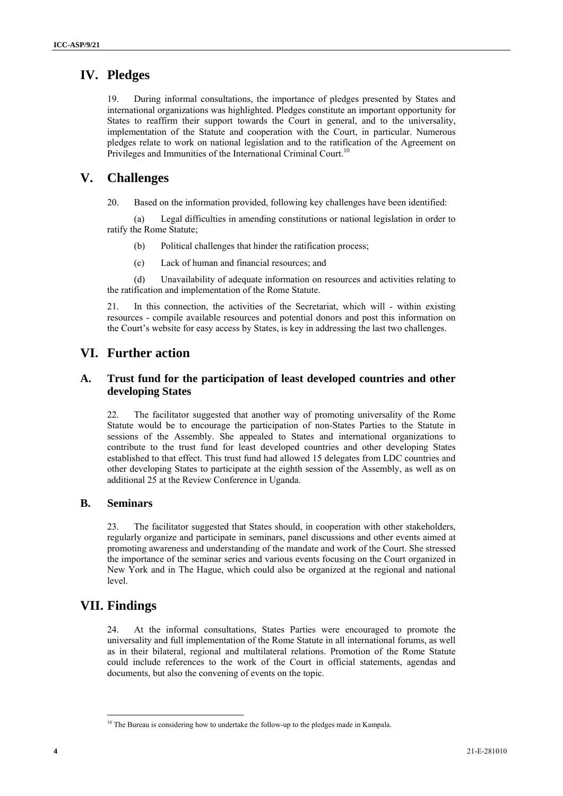## **IV. Pledges**

19. During informal consultations, the importance of pledges presented by States and international organizations was highlighted. Pledges constitute an important opportunity for States to reaffirm their support towards the Court in general, and to the universality, implementation of the Statute and cooperation with the Court, in particular. Numerous pledges relate to work on national legislation and to the ratification of the Agreement on Privileges and Immunities of the International Criminal Court.<sup>10</sup>

## **V. Challenges**

20. Based on the information provided, following key challenges have been identified:

(a) Legal difficulties in amending constitutions or national legislation in order to ratify the Rome Statute;

- (b) Political challenges that hinder the ratification process;
- (c) Lack of human and financial resources; and

(d) Unavailability of adequate information on resources and activities relating to the ratification and implementation of the Rome Statute.

21. In this connection, the activities of the Secretariat, which will - within existing resources - compile available resources and potential donors and post this information on the Court's website for easy access by States, is key in addressing the last two challenges.

## **VI. Further action**

## **A. Trust fund for the participation of least developed countries and other developing States**

22. The facilitator suggested that another way of promoting universality of the Rome Statute would be to encourage the participation of non-States Parties to the Statute in sessions of the Assembly. She appealed to States and international organizations to contribute to the trust fund for least developed countries and other developing States established to that effect. This trust fund had allowed 15 delegates from LDC countries and other developing States to participate at the eighth session of the Assembly, as well as on additional 25 at the Review Conference in Uganda.

### **B. Seminars**

23. The facilitator suggested that States should, in cooperation with other stakeholders, regularly organize and participate in seminars, panel discussions and other events aimed at promoting awareness and understanding of the mandate and work of the Court. She stressed the importance of the seminar series and various events focusing on the Court organized in New York and in The Hague, which could also be organized at the regional and national level.

## **VII. Findings**

 $\overline{a}$ 

24. At the informal consultations, States Parties were encouraged to promote the universality and full implementation of the Rome Statute in all international forums, as well as in their bilateral, regional and multilateral relations. Promotion of the Rome Statute could include references to the work of the Court in official statements, agendas and documents, but also the convening of events on the topic.

<sup>&</sup>lt;sup>10</sup> The Bureau is considering how to undertake the follow-up to the pledges made in Kampala.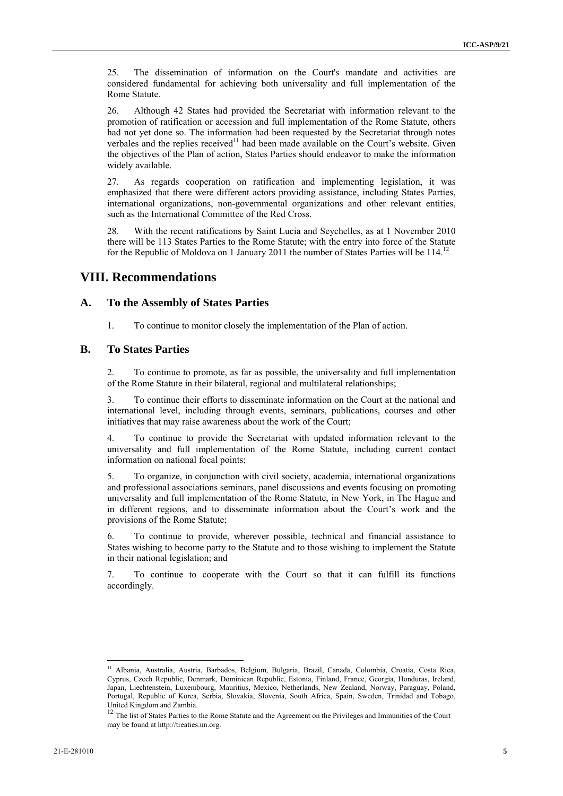25. The dissemination of information on the Court's mandate and activities are considered fundamental for achieving both universality and full implementation of the Rome Statute.

26. Although 42 States had provided the Secretariat with information relevant to the promotion of ratification or accession and full implementation of the Rome Statute, others had not yet done so. The information had been requested by the Secretariat through notes verbales and the replies received<sup>11</sup> had been made available on the Court's website. Given the objectives of the Plan of action, States Parties should endeavor to make the information widely available.

27. As regards cooperation on ratification and implementing legislation, it was emphasized that there were different actors providing assistance, including States Parties, international organizations, non-governmental organizations and other relevant entities, such as the International Committee of the Red Cross.

28. With the recent ratifications by Saint Lucia and Seychelles, as at 1 November 2010 there will be 113 States Parties to the Rome Statute; with the entry into force of the Statute for the Republic of Moldova on 1 January 2011 the number of States Parties will be 114.<sup>12</sup>

## **VIII. Recommendations**

#### **A. To the Assembly of States Parties**

1. To continue to monitor closely the implementation of the Plan of action.

## **B. To States Parties**

2. To continue to promote, as far as possible, the universality and full implementation of the Rome Statute in their bilateral, regional and multilateral relationships;

3. To continue their efforts to disseminate information on the Court at the national and international level, including through events, seminars, publications, courses and other initiatives that may raise awareness about the work of the Court;

4. To continue to provide the Secretariat with updated information relevant to the universality and full implementation of the Rome Statute, including current contact information on national focal points;

5. To organize, in conjunction with civil society, academia, international organizations and professional associations seminars, panel discussions and events focusing on promoting universality and full implementation of the Rome Statute, in New York, in The Hague and in different regions, and to disseminate information about the Court's work and the provisions of the Rome Statute;

6. To continue to provide, wherever possible, technical and financial assistance to States wishing to become party to the Statute and to those wishing to implement the Statute in their national legislation; and

7. To continue to cooperate with the Court so that it can fulfill its functions accordingly.

<sup>&</sup>lt;sup>11</sup> Albania, Australia, Austria, Barbados, Belgium, Bulgaria, Brazil, Canada, Colombia, Croatia, Costa Rica, Cyprus, Czech Republic, Denmark, Dominican Republic, Estonia, Finland, France, Georgia, Honduras, Ireland, Japan, Liechtenstein, Luxembourg, Mauritius, Mexico, Netherlands, New Zealand, Norway, Paraguay, Poland, Portugal, Republic of Korea, Serbia, Slovakia, Slovenia, South Africa, Spain, Sweden, Trinidad and Tobago, United Kingdom and Zambia.

<sup>&</sup>lt;sup>12</sup> The list of States Parties to the Rome Statute and the Agreement on the Privileges and Immunities of the Court may be found at http://treaties.un.org.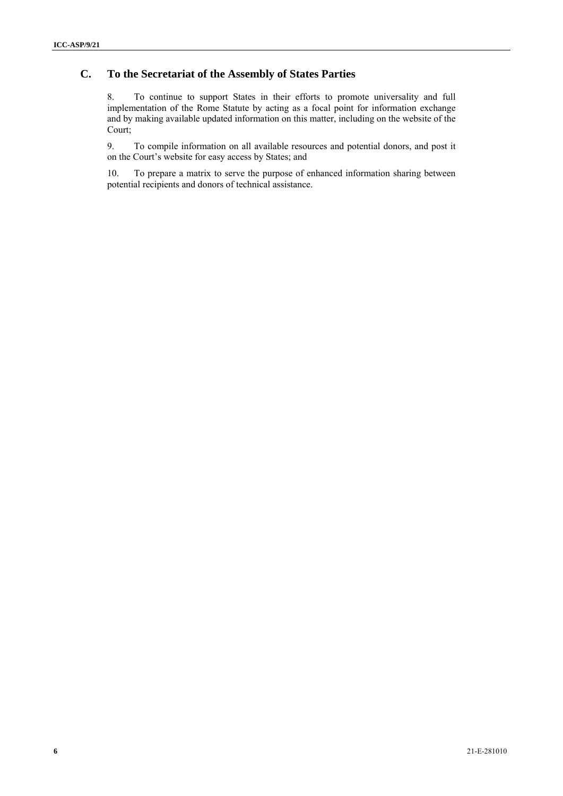## **C. To the Secretariat of the Assembly of States Parties**

8. To continue to support States in their efforts to promote universality and full implementation of the Rome Statute by acting as a focal point for information exchange and by making available updated information on this matter, including on the website of the Court;

9. To compile information on all available resources and potential donors, and post it on the Court's website for easy access by States; and

10. To prepare a matrix to serve the purpose of enhanced information sharing between potential recipients and donors of technical assistance.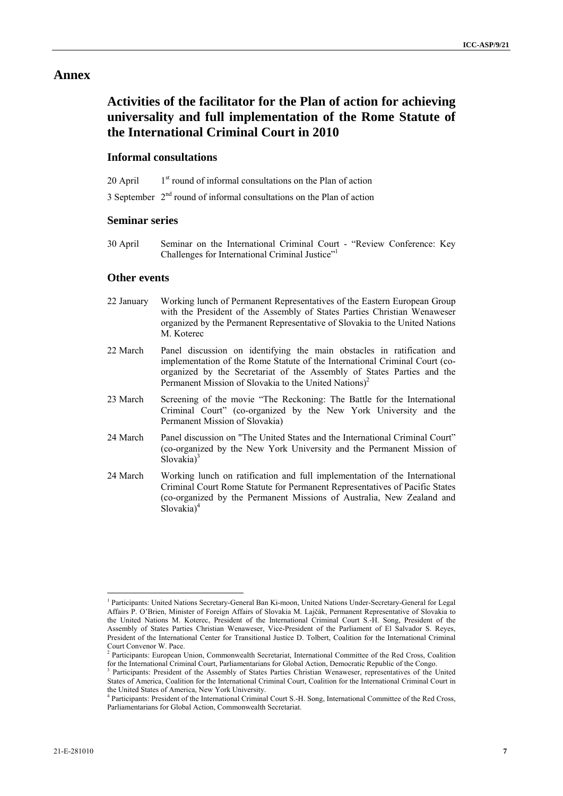### **Annex**

# **Activities of the facilitator for the Plan of action for achieving universality and full implementation of the Rome Statute of the International Criminal Court in 2010**

#### **Informal consultations**

- 20 April  $1<sup>st</sup>$  round of informal consultations on the Plan of action
- 3 September 2nd round of informal consultations on the Plan of action

#### **Seminar series**

30 April Seminar on the International Criminal Court - "Review Conference: Key Challenges for International Criminal Justice"<sup>1</sup>

#### **Other events**

- 22 January Working lunch of Permanent Representatives of the Eastern European Group with the President of the Assembly of States Parties Christian Wenaweser organized by the Permanent Representative of Slovakia to the United Nations M. Koterec
- 22 March Panel discussion on identifying the main obstacles in ratification and implementation of the Rome Statute of the International Criminal Court (coorganized by the Secretariat of the Assembly of States Parties and the Permanent Mission of Slovakia to the United Nations)<sup>2</sup>
- 23 March Screening of the movie "The Reckoning: The Battle for the International Criminal Court" (co-organized by the New York University and the Permanent Mission of Slovakia)
- 24 March Panel discussion on "The United States and the International Criminal Court" (co-organized by the New York University and the Permanent Mission of Slovakia $3<sup>3</sup>$
- 24 March Working lunch on ratification and full implementation of the International Criminal Court Rome Statute for Permanent Representatives of Pacific States (co-organized by the Permanent Missions of Australia, New Zealand and Slovakia<sup>4</sup>

<sup>&</sup>lt;sup>1</sup> Participants: United Nations Secretary-General Ban Ki-moon, United Nations Under-Secretary-General for Legal Affairs P. O'Brien, Minister of Foreign Affairs of Slovakia M. Lajčák, Permanent Representative of Slovakia to the United Nations M. Koterec, President of the International Criminal Court S.-H. Song, President of the Assembly of States Parties Christian Wenaweser, Vice-President of the Parliament of El Salvador S. Reyes, President of the International Center for Transitional Justice D. Tolbert, Coalition for the International Criminal Court Convenor W. Pace.

<sup>&</sup>lt;sup>2</sup> Participants: European Union, Commonwealth Secretariat, International Committee of the Red Cross, Coalition for the International Criminal Court, Parliamentarians for Global Action, Democratic Republic of the Congo.

<sup>&</sup>lt;sup>3</sup> Participants: President of the Assembly of States Parties Christian Wenaweser, representatives of the United States of America, Coalition for the International Criminal Court, Coalition for the International Criminal Court in the United States of America, New York University. 4

Participants: President of the International Criminal Court S.-H. Song, International Committee of the Red Cross, Parliamentarians for Global Action, Commonwealth Secretariat.